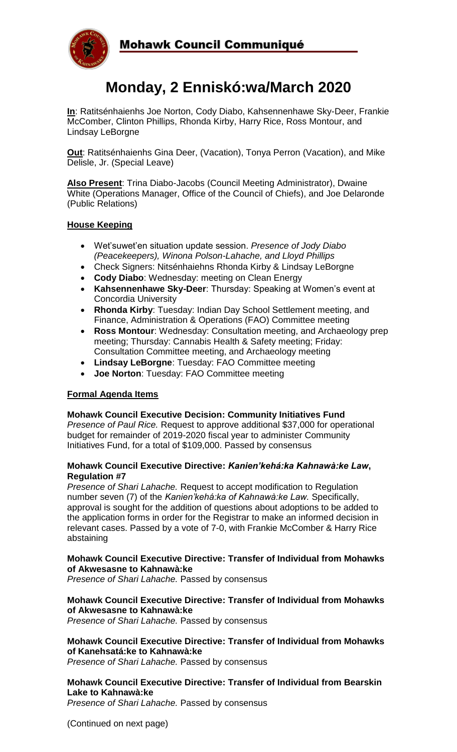

# **Monday, 2 Enniskó:wa/March 2020**

**In**: Ratitsénhaienhs Joe Norton, Cody Diabo, Kahsennenhawe Sky-Deer, Frankie McComber, Clinton Phillips, Rhonda Kirby, Harry Rice, Ross Montour, and Lindsay LeBorgne

**Out**: Ratitsénhaienhs Gina Deer, (Vacation), Tonya Perron (Vacation), and Mike Delisle, Jr. (Special Leave)

**Also Present**: Trina Diabo-Jacobs (Council Meeting Administrator), Dwaine White (Operations Manager, Office of the Council of Chiefs), and Joe Delaronde (Public Relations)

### **House Keeping**

- Wet'suwet'en situation update session. *Presence of Jody Diabo (Peacekeepers), Winona Polson-Lahache, and Lloyd Phillips*
- Check Signers: Nitsénhaiehns Rhonda Kirby & Lindsay LeBorgne
- **Cody Diabo**: Wednesday: meeting on Clean Energy
- **Kahsennenhawe Sky-Deer**: Thursday: Speaking at Women's event at Concordia University
- **Rhonda Kirby**: Tuesday: Indian Day School Settlement meeting, and Finance, Administration & Operations (FAO) Committee meeting
- **Ross Montour**: Wednesday: Consultation meeting, and Archaeology prep meeting; Thursday: Cannabis Health & Safety meeting; Friday: Consultation Committee meeting, and Archaeology meeting
- **Lindsay LeBorgne**: Tuesday: FAO Committee meeting
- **Joe Norton**: Tuesday: FAO Committee meeting

### **Formal Agenda Items**

### **Mohawk Council Executive Decision: Community Initiatives Fund**

*Presence of Paul Rice.* Request to approve additional \$37,000 for operational budget for remainder of 2019-2020 fiscal year to administer Community Initiatives Fund, for a total of \$109,000. Passed by consensus

### **Mohawk Council Executive Directive:** *Kanien'kehá:ka Kahnawà:ke Law***, Regulation #7**

*Presence of Shari Lahache.* Request to accept modification to Regulation number seven (7) of the *Kanien'kehá:ka of Kahnawà:ke Law.* Specifically, approval is sought for the addition of questions about adoptions to be added to the application forms in order for the Registrar to make an informed decision in relevant cases. Passed by a vote of 7-0, with Frankie McComber & Harry Rice abstaining

### **Mohawk Council Executive Directive: Transfer of Individual from Mohawks of Akwesasne to Kahnawà:ke**

*Presence of Shari Lahache.* Passed by consensus

### **Mohawk Council Executive Directive: Transfer of Individual from Mohawks of Akwesasne to Kahnawà:ke**

*Presence of Shari Lahache.* Passed by consensus

**Mohawk Council Executive Directive: Transfer of Individual from Mohawks of Kanehsatá:ke to Kahnawà:ke**

*Presence of Shari Lahache.* Passed by consensus

### **Mohawk Council Executive Directive: Transfer of Individual from Bearskin Lake to Kahnawà:ke**

*Presence of Shari Lahache.* Passed by consensus

(Continued on next page)